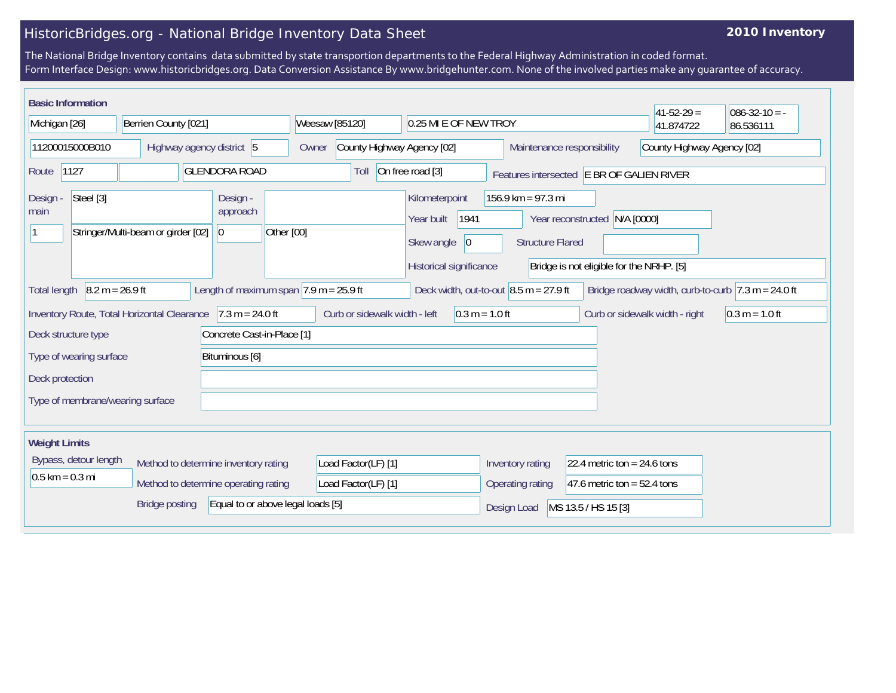## HistoricBridges.org - National Bridge Inventory Data Sheet

## **2010 Inventory**

The National Bridge Inventory contains data submitted by state transportion departments to the Federal Highway Administration in coded format. Form Interface Design: www.historicbridges.org. Data Conversion Assistance By www.bridgehunter.com. None of the involved parties make any guarantee of accuracy.

| <b>Basic Information</b>                                    |                                                                              |                                                            |                                            |                                                   |                                                                                      |                                                                                                        |                                                                | $41 - 52 - 29 =$           | $086 - 32 - 10 = -$                                                    |
|-------------------------------------------------------------|------------------------------------------------------------------------------|------------------------------------------------------------|--------------------------------------------|---------------------------------------------------|--------------------------------------------------------------------------------------|--------------------------------------------------------------------------------------------------------|----------------------------------------------------------------|----------------------------|------------------------------------------------------------------------|
| Michigan [26]                                               | Berrien County [021]                                                         |                                                            | Weesaw [85120]                             |                                                   | 0.25 MI E OF NEW TROY                                                                |                                                                                                        |                                                                | 41.874722                  | 86.536111                                                              |
| 11200015000B010                                             | Highway agency district 5                                                    |                                                            | Owner                                      | County Highway Agency [02]                        |                                                                                      |                                                                                                        | Maintenance responsibility                                     | County Highway Agency [02] |                                                                        |
| 1127<br>Route                                               |                                                                              | <b>GLENDORA ROAD</b>                                       |                                            | Toll                                              | On free road [3]                                                                     |                                                                                                        | Features intersected E BR OF GALIEN RIVER                      |                            |                                                                        |
| Steel [3]<br>Design<br>main                                 | Stringer/Multi-beam or girder [02]                                           | Design -<br>approach<br>Other [00]<br> 0                   |                                            |                                                   | Kilometerpoint<br>1941<br>Year built<br>Skew angle<br> 0 <br>Historical significance | 156.9 km = 97.3 mi<br><b>Structure Flared</b>                                                          | Year reconstructed<br>Bridge is not eligible for the NRHP. [5] | N/A [0000]                 |                                                                        |
| $8.2 m = 26.9 ft$<br><b>Total length</b>                    |                                                                              | Length of maximum span $ 7.9 \text{ m} = 25.9 \text{ ft} $ |                                            |                                                   |                                                                                      | Deck width, out-to-out $8.5$ m = 27.9 ft                                                               |                                                                |                            | Bridge roadway width, curb-to-curb $ 7.3 \text{ m} = 24.0 \text{ ft} $ |
| Inventory Route, Total Horizontal Clearance 7.3 m = 24.0 ft |                                                                              |                                                            |                                            | Curb or sidewalk width - left<br>$0.3 m = 1.0 ft$ |                                                                                      |                                                                                                        | Curb or sidewalk width - right                                 | $0.3 m = 1.0 ft$           |                                                                        |
| Concrete Cast-in-Place [1]<br>Deck structure type           |                                                                              |                                                            |                                            |                                                   |                                                                                      |                                                                                                        |                                                                |                            |                                                                        |
| Bituminous [6]<br>Type of wearing surface                   |                                                                              |                                                            |                                            |                                                   |                                                                                      |                                                                                                        |                                                                |                            |                                                                        |
| Deck protection                                             |                                                                              |                                                            |                                            |                                                   |                                                                                      |                                                                                                        |                                                                |                            |                                                                        |
| Type of membrane/wearing surface                            |                                                                              |                                                            |                                            |                                                   |                                                                                      |                                                                                                        |                                                                |                            |                                                                        |
| <b>Weight Limits</b>                                        |                                                                              |                                                            |                                            |                                                   |                                                                                      |                                                                                                        |                                                                |                            |                                                                        |
| Bypass, detour length<br>$0.5$ km = 0.3 mi                  | Method to determine inventory rating<br>Method to determine operating rating |                                                            | Load Factor(LF) [1]<br>Load Factor(LF) [1] |                                                   |                                                                                      | Inventory rating<br>22.4 metric ton = $24.6$ tons<br>Operating rating<br>47.6 metric ton = $52.4$ tons |                                                                |                            |                                                                        |
|                                                             | <b>Bridge posting</b>                                                        | Equal to or above legal loads [5]                          |                                            |                                                   |                                                                                      | Design Load                                                                                            | MS 13.5 / HS 15 [3]                                            |                            |                                                                        |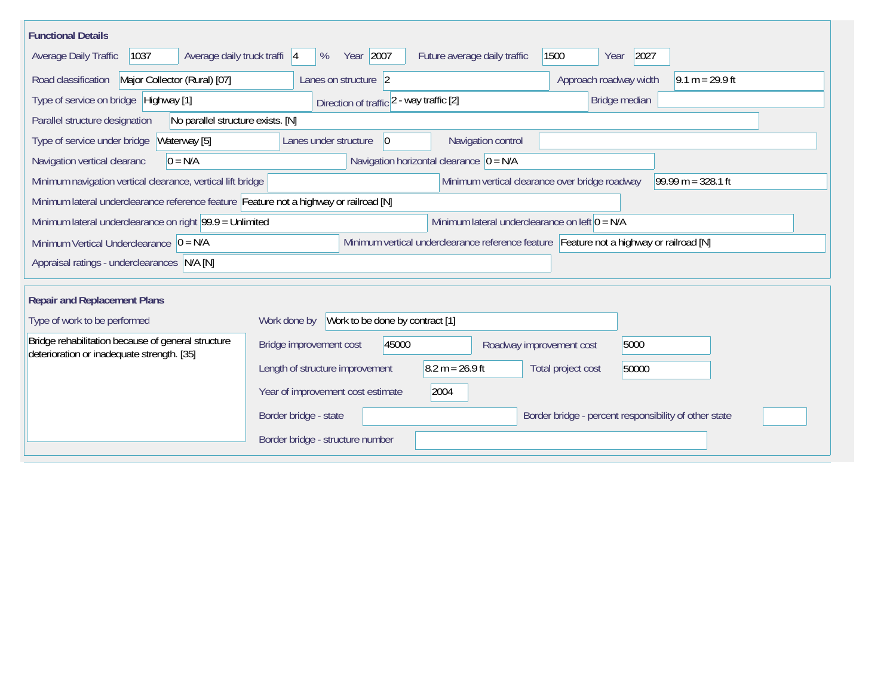| <b>Functional Details</b>                                                                                                             |                                                                                         |  |  |  |  |  |  |  |  |
|---------------------------------------------------------------------------------------------------------------------------------------|-----------------------------------------------------------------------------------------|--|--|--|--|--|--|--|--|
| 1037<br>Average daily truck traffi 4<br>Average Daily Traffic                                                                         | Year 2007<br>2027<br>1500<br>Future average daily traffic<br>%<br>Year                  |  |  |  |  |  |  |  |  |
| Major Collector (Rural) [07]<br>Road classification                                                                                   | Approach roadway width<br>$9.1 m = 29.9 ft$<br>Lanes on structure 2                     |  |  |  |  |  |  |  |  |
| Type of service on bridge Highway [1]                                                                                                 | Bridge median<br>Direction of traffic 2 - way traffic [2]                               |  |  |  |  |  |  |  |  |
| Parallel structure designation<br>No parallel structure exists. [N]                                                                   |                                                                                         |  |  |  |  |  |  |  |  |
| Waterway [5]<br>Type of service under bridge                                                                                          | Navigation control<br>Lanes under structure<br>$\overline{0}$                           |  |  |  |  |  |  |  |  |
| Navigation horizontal clearance $ 0 = N/A$<br>Navigation vertical clearanc<br>$0 = N/A$                                               |                                                                                         |  |  |  |  |  |  |  |  |
| Minimum vertical clearance over bridge roadway<br>99.99 m = $328.1$ ft<br>Minimum navigation vertical clearance, vertical lift bridge |                                                                                         |  |  |  |  |  |  |  |  |
| Minimum lateral underclearance reference feature Feature not a highway or railroad [N]                                                |                                                                                         |  |  |  |  |  |  |  |  |
| Minimum lateral underclearance on left $0 = N/A$<br>Minimum lateral underclearance on right $99.9 =$ Unlimited                        |                                                                                         |  |  |  |  |  |  |  |  |
| Minimum Vertical Underclearance $ 0 = N/A$                                                                                            | Minimum vertical underclearance reference feature Feature not a highway or railroad [N] |  |  |  |  |  |  |  |  |
| Appraisal ratings - underclearances N/A [N]                                                                                           |                                                                                         |  |  |  |  |  |  |  |  |
|                                                                                                                                       |                                                                                         |  |  |  |  |  |  |  |  |
| <b>Repair and Replacement Plans</b>                                                                                                   |                                                                                         |  |  |  |  |  |  |  |  |
| Type of work to be performed                                                                                                          | Work to be done by contract [1]<br>Work done by                                         |  |  |  |  |  |  |  |  |
| Bridge rehabilitation because of general structure<br>deterioration or inadequate strength. [35]                                      | 45000<br>Bridge improvement cost<br>5000<br>Roadway improvement cost                    |  |  |  |  |  |  |  |  |
|                                                                                                                                       | $8.2 m = 26.9 ft$<br>Length of structure improvement<br>Total project cost<br>50000     |  |  |  |  |  |  |  |  |
|                                                                                                                                       | 2004<br>Year of improvement cost estimate                                               |  |  |  |  |  |  |  |  |
|                                                                                                                                       | Border bridge - state<br>Border bridge - percent responsibility of other state          |  |  |  |  |  |  |  |  |
|                                                                                                                                       | Border bridge - structure number                                                        |  |  |  |  |  |  |  |  |